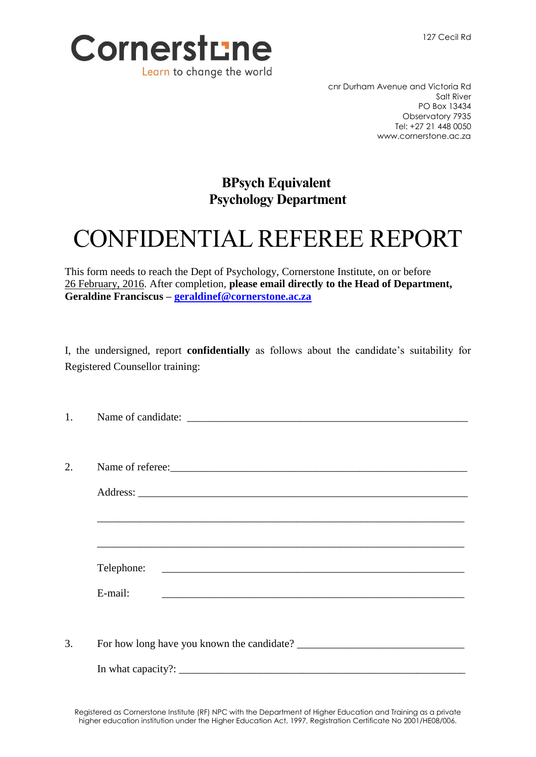

cnr Durham Avenue and Victoria Rd Salt River PO Box 13434 Observatory 7935 Tel: +27 21 448 0050 www.cornerstone.ac.za

## **BPsych Equivalent Psychology Department**

## CONFIDENTIAL REFEREE REPORT

This form needs to reach the Dept of Psychology, Cornerstone Institute, on or before 26 February, 2016. After completion, **please email directly to the Head of Department, Geraldine Franciscus – [geraldinef@cornerstone.ac.za](mailto:geraldinef@cornerstone.ac.za)**

I, the undersigned, report **confidentially** as follows about the candidate's suitability for Registered Counsellor training:

| 1. |                                                                                                                                   |
|----|-----------------------------------------------------------------------------------------------------------------------------------|
|    |                                                                                                                                   |
| 2. | Name of referee:<br><u> </u>                                                                                                      |
|    |                                                                                                                                   |
|    |                                                                                                                                   |
|    |                                                                                                                                   |
|    |                                                                                                                                   |
|    | E-mail:<br><u> 1989 - Andrea Barbara, amerikana amerikana amerikana amerikana amerikana amerikana amerikana amerikana amerika</u> |
|    |                                                                                                                                   |
| 3. |                                                                                                                                   |
|    |                                                                                                                                   |
|    |                                                                                                                                   |

Registered as Cornerstone Institute (RF) NPC with the Department of Higher Education and Training as a private higher education institution under the Higher Education Act, 1997, Registration Certificate No 2001/HE08/006.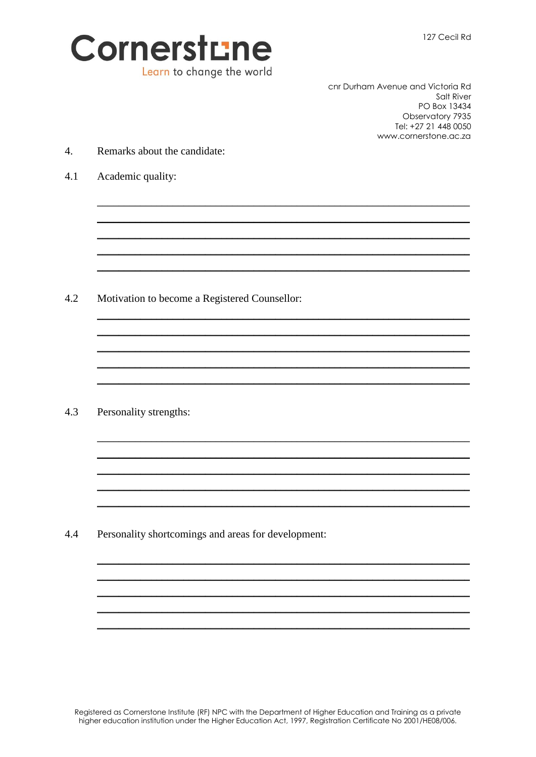

cnr Durham Avenue and Victoria Rd Salt River PO Box 13434 Observatory 7935 Tel: +27 21 448 0050 www.cornerstone.ac.za

- $\overline{4}$ . Remarks about the candidate:
- $4.1$ Academic quality:

 $4.2$ Motivation to become a Registered Counsellor:

 $4.3$ Personality strengths:

4.4 Personality shortcomings and areas for development: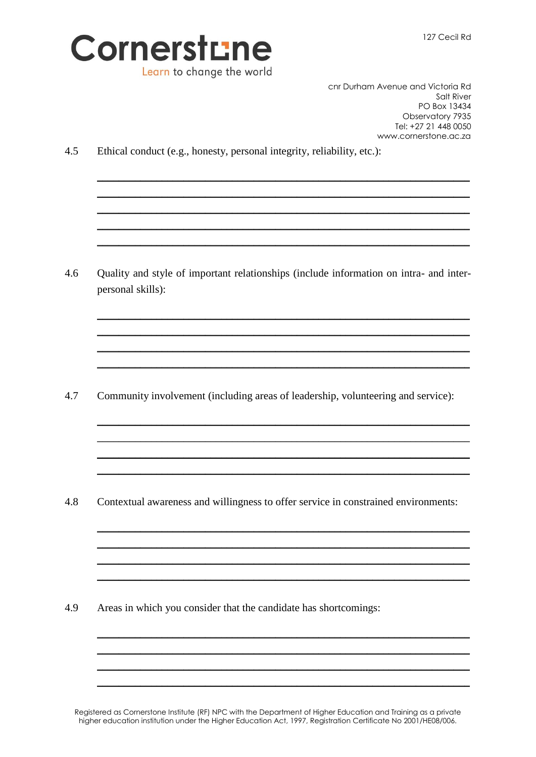



cnr Durham Avenue and Victoria Rd Salt River PO Box 13434 Observatory 7935 Tel: +27 21 448 0050 www.cornerstone.ac.za

 $4.5$ Ethical conduct (e.g., honesty, personal integrity, reliability, etc.):

4.6 Quality and style of important relationships (include information on intra- and interpersonal skills):

4.7 Community involvement (including areas of leadership, volunteering and service):

4.8 Contextual awareness and willingness to offer service in constrained environments:

4.9 Areas in which you consider that the candidate has shortcomings:

Registered as Cornerstone Institute (RF) NPC with the Department of Higher Education and Training as a private higher education institution under the Higher Education Act, 1997, Registration Certificate No 2001/HE08/006.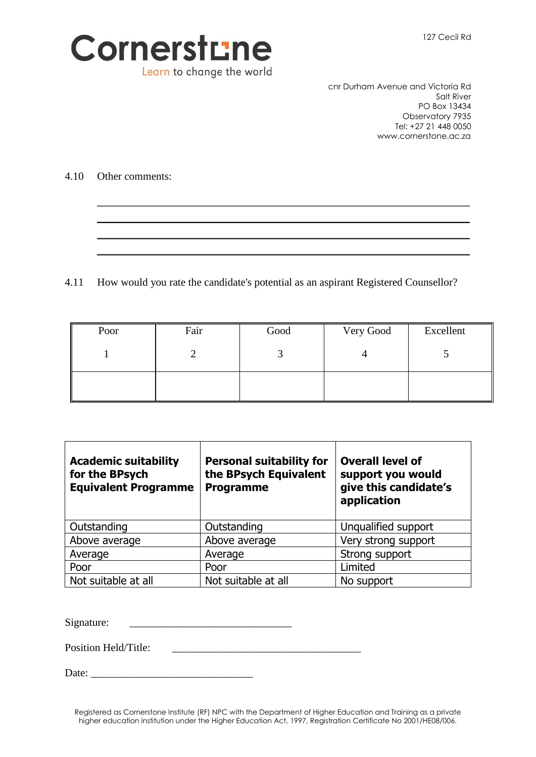

cnr Durham Avenue and Victoria Rd Salt River PO Box 13434 Observatory 7935 Tel: +27 21 448 0050 www.cornerstone.ac.za

4.10 Other comments:

4.11 How would you rate the candidate's potential as an aspirant Registered Counsellor?

| Poor | Fair | Good | Very Good | Excellent |
|------|------|------|-----------|-----------|
|      |      |      |           |           |
|      |      |      |           |           |

\_\_\_\_\_\_\_\_\_\_\_\_\_\_\_\_\_\_\_\_\_\_\_\_\_\_\_\_\_\_\_\_\_\_\_\_\_\_\_\_\_\_\_\_\_\_\_\_\_\_\_\_\_\_\_\_\_\_\_\_\_\_\_\_\_\_\_\_\_ \_\_\_\_\_\_\_\_\_\_\_\_\_\_\_\_\_\_\_\_\_\_\_\_\_\_\_\_\_\_\_\_\_\_\_\_\_\_\_\_\_\_\_\_\_\_\_\_\_\_\_\_\_\_\_\_\_\_\_\_\_\_\_\_\_\_\_\_\_ \_\_\_\_\_\_\_\_\_\_\_\_\_\_\_\_\_\_\_\_\_\_\_\_\_\_\_\_\_\_\_\_\_\_\_\_\_\_\_\_\_\_\_\_\_\_\_\_\_\_\_\_\_\_\_\_\_\_\_\_\_\_\_\_\_\_\_\_\_ \_\_\_\_\_\_\_\_\_\_\_\_\_\_\_\_\_\_\_\_\_\_\_\_\_\_\_\_\_\_\_\_\_\_\_\_\_\_\_\_\_\_\_\_\_\_\_\_\_\_\_\_\_\_\_\_\_\_\_\_\_\_\_\_\_\_\_\_\_

| <b>Academic suitability</b><br>for the BPsych<br><b>Equivalent Programme</b> | <b>Personal suitability for</b><br>the BPsych Equivalent<br><b>Programme</b> | <b>Overall level of</b><br>support you would<br>give this candidate's<br>application |
|------------------------------------------------------------------------------|------------------------------------------------------------------------------|--------------------------------------------------------------------------------------|
| Outstanding                                                                  | Outstanding                                                                  | Unqualified support                                                                  |
| Above average                                                                | Above average                                                                | Very strong support                                                                  |
| Average                                                                      | Average                                                                      | Strong support                                                                       |
| Poor                                                                         | Poor                                                                         | Limited                                                                              |
| Not suitable at all                                                          | Not suitable at all                                                          | No support                                                                           |

Signature:

Position Held/Title:

Date:

Registered as Cornerstone Institute (RF) NPC with the Department of Higher Education and Training as a private higher education institution under the Higher Education Act, 1997, Registration Certificate No 2001/HE08/006.